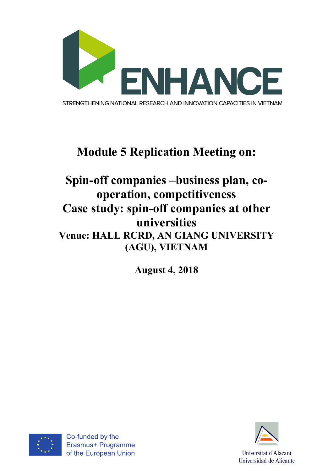

## **Module 5 Replication Meeting on:**

## **Spin-off companies –business plan, cooperation, competitiveness Case study: spin-off companies at other universities Venue: HALL RCRD, AN GIANG UNIVERSITY (AGU), VIETNAM**

**August 4, 2018**



Co-funded by the Erasmus+ Programme of the European Union

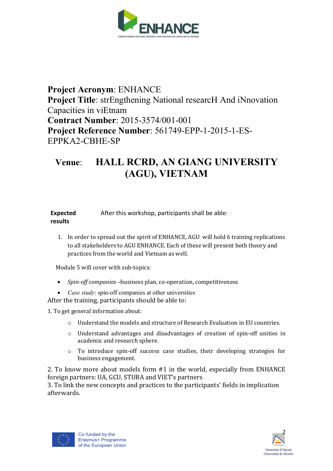

## **Project Acronym**: ENHANCE **Project Title**: strEngthening National researcH And iNnovation Capacities in viEtnam **Contract Number**: 2015-3574/001-001 **Project Reference Number**: 561749-EPP-1-2015-1-ES-EPPKA2-CBHE-SP

## **Venue**: **HALL RCRD, AN GIANG UNIVERSITY (AGU), VIETNAM**

**Expected results** After this workshop, participants shall be able:

1. In order to spread out the spirit of ENHANCE, AGU will hold 6 training replications to all stakeholders to AGU ENHANCE. Each of these will present both theory and practices from the world and Vietnam as well.

Module 5 will cover with sub-topics:

- *Spin-off companies* -business plan, co-operation, competitiveness
- *Case study*: spin-off companies at other universities

After the training, participants should be able to:

1. To get general information about:

- o Understand the models and structure of Research Evaluation in EU countries.
- o Understand advantages and disadvantages of creation of spin-off unities in academic and research sphere.
- $\circ$  To introduce spin-off success case studies, their developing strategies for business engagement.

2. To know more about models form  $#1$  in the world, especially from ENHANCE foreign partners: UA, GCU, STUBA and VIET's partners

3. To link the new concepts and practices to the participants' fields in implication afterwards.